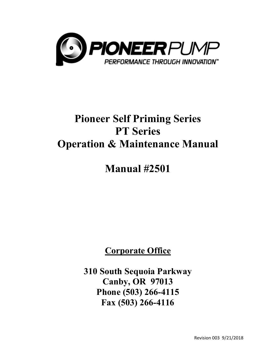

# **Pioneer Self Priming Series PT Series Operation & Maintenance Manual**

# **Manual #2501**

# **Corporate Office**

**310 South Sequoia Parkway Canby, OR 97013 Phone (503) 266-4115 Fax (503) 266-4116**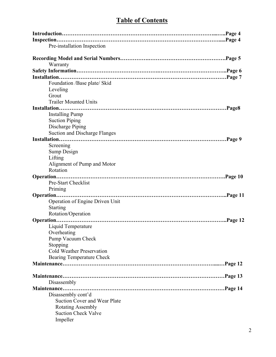# **Table of Contents**

| Pre-installation Inspection                        |
|----------------------------------------------------|
| Warranty                                           |
|                                                    |
|                                                    |
| Foundation /Base plate/ Skid                       |
| Leveling                                           |
| Grout                                              |
| <b>Trailer Mounted Units</b>                       |
| Installation.                                      |
| <b>Installing Pump</b>                             |
| <b>Suction Piping</b>                              |
| Discharge Piping                                   |
| Suction and Discharge Flanges                      |
|                                                    |
| Screening                                          |
| Sump Design<br>Lifting                             |
| Alignment of Pump and Motor                        |
| Rotation                                           |
|                                                    |
| Pre-Start Checklist                                |
| Priming                                            |
| Operation of Engine Driven Unit<br><b>Starting</b> |
| Rotation/Operation                                 |
|                                                    |
| Liquid Temperature<br>Overheating                  |
| Pump Vacuum Check                                  |
| Stopping                                           |
| <b>Cold Weather Preservation</b>                   |
| Bearing Temperature Check                          |
|                                                    |
|                                                    |
|                                                    |
| Disassembly                                        |
|                                                    |
| Disassembly cont'd                                 |
| <b>Suction Cover and Wear Plate</b>                |
| Rotating Assembly                                  |
| <b>Suction Check Valve</b>                         |
| Impeller                                           |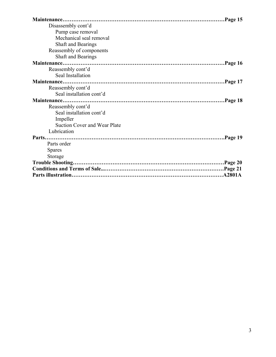| Disassembly cont'd           |
|------------------------------|
| Pump case removal            |
| Mechanical seal removal      |
| Shaft and Bearings           |
| Reassembly of components     |
| Shaft and Bearings           |
|                              |
| Reassembly cont'd            |
| Seal Installation            |
|                              |
| Reassembly cont'd            |
| Seal installation cont'd     |
|                              |
| Reassembly cont'd            |
| Seal installation cont'd     |
| Impeller                     |
| Suction Cover and Wear Plate |
| Lubrication                  |
|                              |
| Parts order                  |
| <b>Spares</b>                |
| Storage                      |
|                              |
|                              |
|                              |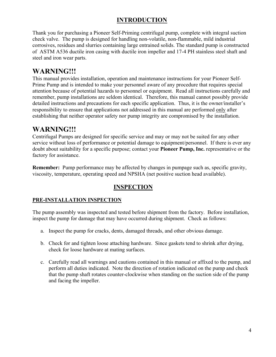### **INTRODUCTION**

Thank you for purchasing a Pioneer Self-Priming centrifugal pump, complete with integral suction check valve. The pump is designed for handling non-volatile, non-flammable, mild industrial corrosives, residues and slurries containing large entrained solids. The standard pump is constructed of ASTM A536 ductile iron casing with ductile iron impeller and 17-4 PH stainless steel shaft and steel and iron wear parts.

# **WARNING!!!**

This manual provides installation, operation and maintenance instructions for your Pioneer Self-Prime Pump and is intended to make your personnel aware of any procedure that requires special attention because of potential hazards to personnel or equipment. Read all instructions carefully and remember, pump installations are seldom identical. Therefore, this manual cannot possibly provide detailed instructions and precautions for each specific application. Thus, it is the owner/installer's responsibility to ensure that applications not addressed in this manual are performed only after establishing that neither operator safety nor pump integrity are compromised by the installation.

### **WARNING!!!**

Centrifugal Pumps are designed for specific service and may or may not be suited for any other service without loss of performance or potential damage to equipment/personnel. If there is ever any doubt about suitability for a specific purpose; contact your **Pioneer Pump, Inc.** representative or the factory for assistance.

**Remember:** Pump performance may be affected by changes in pumpage such as, specific gravity, viscosity, temperature, operating speed and NPSHA (net positive suction head available).

### **INSPECTION**

#### **PRE-INSTALLATION INSPECTION**

The pump assembly was inspected and tested before shipment from the factory. Before installation, inspect the pump for damage that may have occurred during shipment. Check as follows:

- a. Inspect the pump for cracks, dents, damaged threads, and other obvious damage.
- b. Check for and tighten loose attaching hardware. Since gaskets tend to shrink after drying, check for loose hardware at mating surfaces.
- c. Carefully read all warnings and cautions contained in this manual or affixed to the pump, and perform all duties indicated. Note the direction of rotation indicated on the pump and check that the pump shaft rotates counter-clockwise when standing on the suction side of the pump and facing the impeller.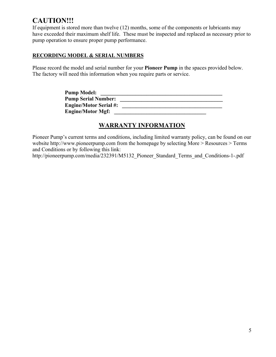# **CAUTION!!!**

If equipment is stored more than twelve (12) months, some of the components or lubricants may have exceeded their maximum shelf life. These must be inspected and replaced as necessary prior to pump operation to ensure proper pump performance.

#### **RECORDING MODEL & SERIAL NUMBERS**

Please record the model and serial number for your **Pioneer Pump** in the spaces provided below. The factory will need this information when you require parts or service.

| <b>Pump Model:</b>            |  |
|-------------------------------|--|
| <b>Pump Serial Number:</b>    |  |
| <b>Engine/Motor Serial #:</b> |  |
| <b>Engine/Motor Mgf:</b>      |  |

### **WARRANTY INFORMATION**

Pioneer Pump's current terms and conditions, including limited warranty policy, can be found on our website [http://www.pioneerpump.com fro](http://www.pioneerpump.com)m the homepage by selecting More > Resources > Terms and Conditions or by following this link:

[http://pioneerpump.com/media/232391/M5132\\_Pioneer\\_Standard\\_Terms\\_and\\_Conditions-1-.pdf](http://pioneerpump.com/media/232391/M5132_Pioneer_Standard_Terms_and_Conditions-1-.pdf)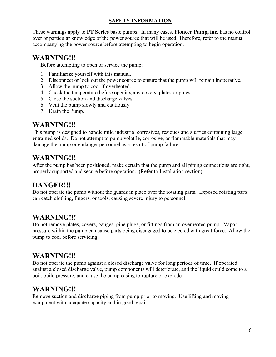#### **SAFETY INFORMATION**

These warnings apply to **PT Series** basic pumps. In many cases, **Pioneer Pump, inc.** has no control over or particular knowledge of the power source that will be used. Therefore, refer to the manual accompanying the power source before attempting to begin operation.

### **WARNING!!!**

Before attempting to open or service the pump:

- 1. Familiarize yourself with this manual.
- 2. Disconnect or lock out the power source to ensure that the pump will remain inoperative.
- 3. Allow the pump to cool if overheated.
- 4. Check the temperature before opening any covers, plates or plugs.
- 5. Close the suction and discharge valves.
- 6. Vent the pump slowly and cautiously.
- 7. Drain the Pump.

### **WARNING!!!**

This pump is designed to handle mild industrial corrosives, residues and slurries containing large entrained solids. Do not attempt to pump volatile, corrosive, or flammable materials that may damage the pump or endanger personnel as a result of pump failure.

### **WARNING!!!**

After the pump has been positioned, make certain that the pump and all piping connections are tight, properly supported and secure before operation. (Refer to Installation section)

# **DANGER!!!**

Do not operate the pump without the guards in place over the rotating parts. Exposed rotating parts can catch clothing, fingers, or tools, causing severe injury to personnel.

# **WARNING!!!**

Do not remove plates, covers, gauges, pipe plugs, or fittings from an overheated pump. Vapor pressure within the pump can cause parts being disengaged to be ejected with great force. Allow the pump to cool before servicing.

### **WARNING!!!**

Do not operate the pump against a closed discharge valve for long periods of time. If operated against a closed discharge valve, pump components will deteriorate, and the liquid could come to a boil, build pressure, and cause the pump casing to rupture or explode.

# **WARNING!!!**

Remove suction and discharge piping from pump prior to moving. Use lifting and moving equipment with adequate capacity and in good repair.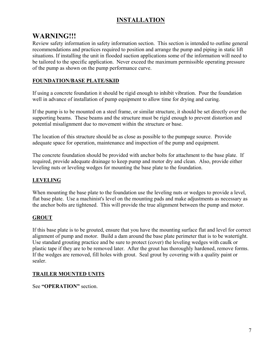### **INSTALLATION**

### **WARNING!!!**

Review safety information in safety information section. This section is intended to outline general recommendations and practices required to position and arrange the pump and piping in static lift situations. If installing the unit in flooded suction applications some of the information will need to be tailored to the specific application. Never exceed the maximum permissible operating pressure of the pump as shown on the pump performance curve.

#### **FOUNDATION/BASE PLATE/SKID**

If using a concrete foundation it should be rigid enough to inhibit vibration. Pour the foundation well in advance of installation of pump equipment to allow time for drying and curing.

If the pump is to be mounted on a steel frame, or similar structure, it should be set directly over the supporting beams. These beams and the structure must be rigid enough to prevent distortion and potential misalignment due to movement within the structure or base.

The location of this structure should be as close as possible to the pumpage source. Provide adequate space for operation, maintenance and inspection of the pump and equipment.

The concrete foundation should be provided with anchor bolts for attachment to the base plate. If required, provide adequate drainage to keep pump and motor dry and clean. Also, provide either leveling nuts or leveling wedges for mounting the base plate to the foundation.

### **LEVELING**

When mounting the base plate to the foundation use the leveling nuts or wedges to provide a level, flat base plate. Use a machinist's level on the mounting pads and make adjustments as necessary as the anchor bolts are tightened. This will provide the true alignment between the pump and motor.

### **GROUT**

If this base plate is to be grouted, ensure that you have the mounting surface flat and level for correct alignment of pump and motor. Build a dam around the base plate perimeter that is to be watertight. Use standard grouting practice and be sure to protect (cover) the leveling wedges with caulk or plastic tape if they are to be removed later. After the grout has thoroughly hardened, remove forms. If the wedges are removed, fill holes with grout. Seal grout by covering with a quality paint or sealer.

#### **TRAILER MOUNTED UNITS**

See **"OPERATION"** section.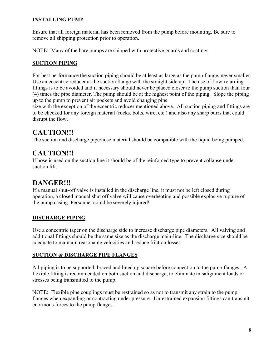#### **INSTALLING PUMP**

Ensure that all foreign material has been removed from the pump before mounting. Be sure to remove all shipping protection prior to operation.

NOTE: Many of the bare pumps are shipped with protective guards and coatings.

#### **SUCTION PIPING**

For best performance the suction piping should be at least as large as the pump flange, never smaller. Use an eccentric reducer at the suction flange with the straight side up. The use of flow-retarding fittings is to be avoided and if necessary should never be placed closer to the pump suction than four (4) times the pipe diameter. The pump should be at the highest point of the piping. Slope the piping up to the pump to prevent air pockets and avoid changing pipe

size with the exception of the eccentric reducer mentioned above. All suction piping and fittings are to be checked for any foreign material (rocks, bolts, wire, etc.) and also any sharp burrs that could disrupt the flow.

# **CAUTION!!!**

The suction and discharge pipe/hose material should be compatible with the liquid being pumped.

# **CAUTION!!!**

If hose is used on the suction line it should be of the reinforced type to prevent collapse under suction lift.

# **DANGER!!!**

If a manual shut-off valve is installed in the discharge line, it must not be left closed during operation, a closed manual shut off valve will cause overheating and possible explosive rupture of the pump casing. Personnel could be severely injured!

### **DISCHARGE PIPING**

Use a concentric taper on the discharge side to increase discharge pipe diameters. All valving and additional fittings should be the same size as the discharge main-line. The discharge size should be adequate to maintain reasonable velocities and reduce friction losses.

#### **SUCTION & DISCHARGE PIPE FLANGES**

All piping is to be supported, braced and lined up square before connection to the pump flanges. A flexible fitting is recommended on both suction and discharge, to eliminate misalignment loads or stresses being transmitted to the pump.

NOTE: Flexible pipe couplings must be restrained so as not to transmit any strain to the pump flanges when expanding or contracting under pressure. Unrestrained expansion fittings can transmit enormous forces to the pump flanges.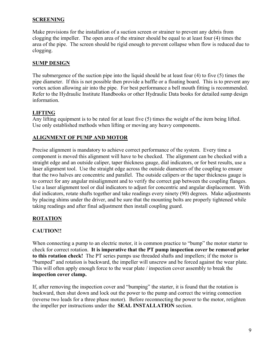#### **SCREENING**

Make provisions for the installation of a suction screen or strainer to prevent any debris from clogging the impeller. The open area of the strainer should be equal to at least four (4) times the area of the pipe. The screen should be rigid enough to prevent collapse when flow is reduced due to clogging.

#### **SUMP DESIGN**

The submergence of the suction pipe into the liquid should be at least four (4) to five (5) times the pipe diameter. If this is not possible then provide a baffle or a floating board. This is to prevent any vortex action allowing air into the pipe. For best performance a bell mouth fitting is recommended. Refer to the Hydraulic Institute Handbooks or other Hydraulic Data books for detailed sump design information.

#### **LIFTING**

Any lifting equipment is to be rated for at least five (5) times the weight of the item being lifted. Use only established methods when lifting or moving any heavy components.

#### **ALIGNMENT OF PUMP AND MOTOR**

Precise alignment is mandatory to achieve correct performance of the system. Every time a component is moved this alignment will have to be checked. The alignment can be checked with a straight edge and an outside caliper, taper thickness gauge, dial indicators, or for best results, use a laser alignment tool. Use the straight edge across the outside diameters of the coupling to ensure that the two halves are concentric and parallel. The outside calipers or the taper thickness gauge is to correct for any angular misalignment and to verify the correct gap between the coupling flanges. Use a laser alignment tool or dial indicators to adjust for concentric and angular displacement. With dial indicators, rotate shafts together and take readings every ninety (90) degrees. Make adjustments by placing shims under the driver, and be sure that the mounting bolts are properly tightened while taking readings and after final adjustment then install coupling guard.

#### **ROTATION**

#### **CAUTION!!**

When connecting a pump to an electric motor, it is common practice to "bump" the motor starter to check for correct rotation. **It is imperative that the PT pump inspection cover be removed prior to this rotation check!** The PT series pumps use threaded shafts and impellers; if the motor is "bumped" and rotation is backward, the impeller will unscrew and be forced against the wear plate. This will often apply enough force to the wear plate / inspection cover assembly to break the **inspection cover clamp.**

If, after removing the inspection cover and "bumping" the starter, it is found that the rotation is backward, then shut down and lock out the power to the pump and correct the wiring connection (reverse two leads for a three phase motor). Before reconnecting the power to the motor, retighten the impeller per instructions under the **SEAL INSTALLATION** section.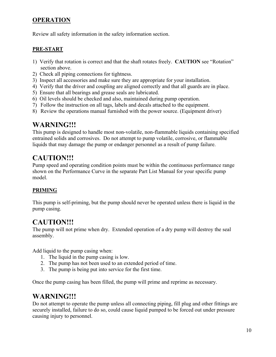### **OPERATION**

Review all safety information in the safety information section.

#### **PRE-START**

- 1) Verify that rotation is correct and that the shaft rotates freely. **CAUTION** see "Rotation" section above.
- 2) Check all piping connections for tightness.
- 3) Inspect all accessories and make sure they are appropriate for your installation.
- 4) Verify that the driver and coupling are aligned correctly and that all guards are in place.
- 5) Ensure that all bearings and grease seals are lubricated.
- 6) Oil levels should be checked and also, maintained during pump operation.
- 7) Follow the instruction on all tags, labels and decals attached to the equipment.
- 8) Review the operations manual furnished with the power source. (Equipment driver)

# **WARNING!!!**

This pump is designed to handle most non-volatile, non-flammable liquids containing specified entrained solids and corrosives. Do not attempt to pump volatile, corrosive, or flammable liquids that may damage the pump or endanger personnel as a result of pump failure.

# **CAUTION!!!**

Pump speed and operating condition points must be within the continuous performance range shown on the Performance Curve in the separate Part List Manual for your specific pump model.

### **PRIMING**

This pump is self-priming, but the pump should never be operated unless there is liquid in the pump casing.

# **CAUTION!!!**

The pump will not prime when dry. Extended operation of a dry pump will destroy the seal assembly.

Add liquid to the pump casing when:

- 1. The liquid in the pump casing is low.
- 2. The pump has not been used to an extended period of time.
- 3. The pump is being put into service for the first time.

Once the pump casing has been filled, the pump will prime and reprime as necessary.

### **WARNING!!!**

Do not attempt to operate the pump unless all connecting piping, fill plug and other fittings are securely installed, failure to do so, could cause liquid pumped to be forced out under pressure causing injury to personnel.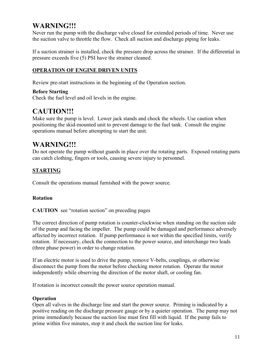# **WARNING!!!**

Never run the pump with the discharge valve closed for extended periods of time. Never use the suction valve to throttle the flow. Check all suction and discharge piping for leaks.

If a suction strainer is installed, check the pressure drop across the strainer. If the differential in pressure exceeds five (5) PSI have the strainer cleaned.

#### **OPERATION OF ENGINE DRIVEN UNITS**

Review pre-start instructions in the beginning of the Operation section.

#### **Before Starting**

Check the fuel level and oil levels in the engine.

### **CAUTION!!!**

Make sure the pump is level. Lower jack stands and chock the wheels. Use caution when positioning the skid-mounted unit to prevent damage to the fuel tank. Consult the engine operations manual before attempting to start the unit.

### **WARNING!!!**

Do not operate the pump without guards in place over the rotating parts. Exposed rotating parts can catch clothing, fingers or tools, causing severe injury to personnel.

#### **STARTING**

Consult the operations manual furnished with the power source.

#### **Rotation**

#### **CAUTION** see "rotation section" on preceding pages

The correct direction of pump rotation is counter-clockwise when standing on the suction side of the pump and facing the impeller. The pump could be damaged and performance adversely affected by incorrect rotation. If pump performance is not within the specified limits, verify rotation. If necessary, check the connection to the power source, and interchange two leads (three phase power) in order to change rotation.

If an electric motor is used to drive the pump, remove V-belts, couplings, or otherwise disconnect the pump from the motor before checking motor rotation. Operate the motor independently while observing the direction of the motor shaft, or cooling fan.

If rotation is incorrect consult the power source operation manual.

#### **Operation**

Open all valves in the discharge line and start the power source. Priming is indicated by a positive reading on the discharge pressure gauge or by a quieter operation. The pump may not prime immediately because the suction line must first fill with liquid. If the pump fails to prime within five minutes, stop it and check the suction line for leaks.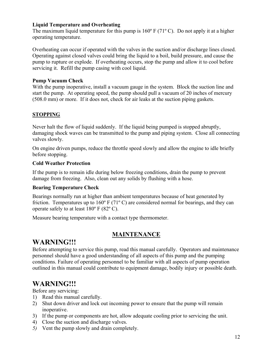#### **Liquid Temperature and Overheating**

The maximum liquid temperature for this pump is 160º F (71º C). Do not apply it at a higher operating temperature.

Overheating can occur if operated with the valves in the suction and/or discharge lines closed. Operating against closed valves could bring the liquid to a boil, build pressure, and cause the pump to rupture or explode. If overheating occurs, stop the pump and allow it to cool before servicing it. Refill the pump casing with cool liquid.

#### **Pump Vacuum Check**

With the pump inoperative, install a vacuum gauge in the system. Block the suction line and start the pump. At operating speed, the pump should pull a vacuum of 20 inches of mercury (508.0 mm) or more. If it does not, check for air leaks at the suction piping gaskets.

#### **STOPPING**

Never halt the flow of liquid suddenly. If the liquid being pumped is stopped abruptly, damaging shock waves can be transmitted to the pump and piping system. Close all connecting valves slowly.

On engine driven pumps, reduce the throttle speed slowly and allow the engine to idle briefly before stopping.

#### **Cold Weather Protection**

If the pump is to remain idle during below freezing conditions, drain the pump to prevent damage from freezing. Also, clean out any solids by flushing with a hose.

#### **Bearing Temperature Check**

Bearings normally run at higher than ambient temperatures because of heat generated by friction. Temperatures up to 160º F (71º C) are considered normal for bearings, and they can operate safely to at least 180º F (82º C).

Measure bearing temperature with a contact type thermometer.

### **MAINTENANCE**

### **WARNING!!!**

Before attempting to service this pump, read this manual carefully. Operators and maintenance personnel should have a good understanding of all aspects of this pump and the pumping conditions. Failure of operating personnel to be familiar with all aspects of pump operation outlined in this manual could contribute to equipment damage, bodily injury or possible death.

# **WARNING!!!**<br>Before any servicing:

- 1) Read this manual carefully.
- 2) Shut down driver and lock out incoming power to ensure that the pump will remain inoperative.
- 3) If the pump or components are hot, allow adequate cooling prior to servicing the unit.
- 4) Close the suction and discharge valves.
- *5)* Vent the pump slowly and drain completely.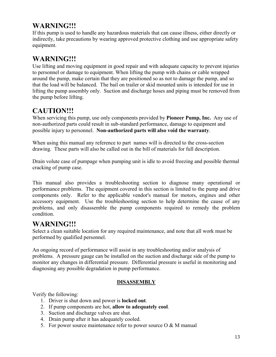# **WARNING!!!**

If this pump is used to handle any hazardous materials that can cause illness, either directly or indirectly, take precautions by wearing approved protective clothing and use appropriate safety equipment.

# **WARNING!!!**

Use lifting and moving equipment in good repair and with adequate capacity to prevent injuries to personnel or damage to equipment. When lifting the pump with chains or cable wrapped around the pump, make certain that they are positioned so as not to damage the pump, and so that the load will be balanced. The bail on trailer or skid mounted units is intended for use in lifting the pump assembly only. Suction and discharge hoses and piping must be removed from the pump before lifting.

# **CAUTION!!!**

When servicing this pump, use only components provided by **Pioneer Pump, Inc.** Any use of non-authorized parts could result in sub-standard performance, damage to equipment and possible injury to personnel. **Non-authorized parts will also void the warranty**.

When using this manual any reference to part names will is directed to the cross-section drawing. These parts will also be called out in the bill of materials for full description.

Drain volute case of pumpage when pumping unit is idle to avoid freezing and possible thermal cracking of pump case.

This manual also provides a troubleshooting section to diagnose many operational or performance problems. The equipment covered in this section is limited to the pump and drive components only. Refer to the applicable vendor's manual for motors, engines and other accessory equipment. Use the troubleshooting section to help determine the cause of any problems, and only disassemble the pump components required to remedy the problem condition.

# **WARNING!!!**

Select a clean suitable location for any required maintenance, and note that all work must be performed by qualified personnel.

An ongoing record of performance will assist in any troubleshooting and/or analysis of problems. A pressure gauge can be installed on the suction and discharge side of the pump to monitor any changes in differential pressure. Differential pressure is useful in monitoring and diagnosing any possible degradation in pump performance.

#### **DISASSEMBLY**

Verify the following:

- 1. Driver is shut down and power is **locked out**.
- 2. If pump components are hot, **allow to adequately cool**.
- 3. Suction and discharge valves are shut.
- 4. Drain pump after it has adequately cooled.
- 5. For power source maintenance refer to power source  $\overline{O} \& M$  manual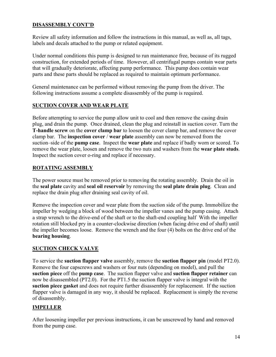#### **DISASSEMBLY CONT'D**

Review all safety information and follow the instructions in this manual, as well as, all tags, labels and decals attached to the pump or related equipment.

Under normal conditions this pump is designed to run maintenance free, because of its rugged construction, for extended periods of time. However, all centrifugal pumps contain wear parts that will gradually deteriorate, affecting pump performance. This pump does contain wear parts and these parts should be replaced as required to maintain optimum performance.

General maintenance can be performed without removing the pump from the driver. The following instructions assume a complete disassembly of the pump is required.

#### **SUCTION COVER AND WEAR PLATE**

Before attempting to service the pump allow unit to cool and then remove the casing drain plug, and drain the pump. Once drained, clean the plug and reinstall in suction cover. Turn the **T-handle screw** on the **cover clamp bar** to loosen the cover clamp bar, and remove the cover clamp bar. The **inspection cover** / **wear plate** assembly can now be removed from the suction–side of the **pump case**. Inspect the **wear plate** and replace if badly worn or scored. To remove the wear plate, loosen and remove the two nuts and washers from the **wear plate studs**. Inspect the suction cover o-ring and replace if necessary.

#### **ROTATING ASSEMBLY**

The power source must be removed prior to removing the rotating assembly. Drain the oil in the **seal plate** cavity and **seal oil reservoir** by removing the **seal plate drain plug**. Clean and replace the drain plug after draining seal cavity of oil.

Remove the inspection cover and wear plate from the suction side of the pump. Immobilize the impeller by wedging a block of wood between the impeller vanes and the pump casing. Attach a strap wrench to the drive-end of the shaft or to the shaft-end coupling half With the impeller rotation still blocked pry in a counter-clockwise direction (when facing drive end of shaft) until the impeller becomes loose. Remove the wrench and the four (4) bolts on the drive end of the **bearing housing**.

#### **SUCTION CHECK VALVE**

To service the **suction flapper valve** assembly, remove the **suction flapper pin** (model PT2.0). Remove the four capscrews and washers or four nuts (depending on model), and pull the **suction piece** off the **pump case**. The suction flapper valve and **suction flapper retainer** can now be disassembled (PT2.0). For the PT1.5 the suction flapper valve is integral with the **suction piece gasket** and does not require further disassembly for replacement. If the suction flapper valve is damaged in any way, it should be replaced. Replacement is simply the reverse of disassembly.

#### **IMPELLER**

After loosening impeller per previous instructions, it can be unscrewed by hand and removed from the pump case.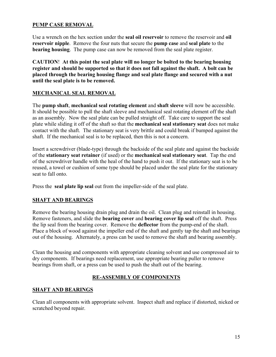#### **PUMP CASE REMOVAL**

Use a wrench on the hex section under the **seal oil reservoir** to remove the reservoir and **oil reservoir nipple**. Remove the four nuts that secure the **pump case** and **seal plate** to the **bearing housing**. The pump case can now be removed from the seal plate register.

**CAUTION**! **At this point the seal plate will no longer be bolted to the bearing housing register and should be supported so that it does not fall against the shaft. A bolt can be placed through the bearing housing flange and seal plate flange and secured with a nut until the seal plate is to be removed.** 

#### **MECHANICAL SEAL REMOVAL**

The **pump shaft**, **mechanical seal rotating element** and **shaft sleeve** will now be accessible. It should be possible to pull the shaft sleeve and mechanical seal rotating element off the shaft as an assembly. Now the seal plate can be pulled straight off. Take care to support the seal plate while sliding it off of the shaft so that the **mechanical seal stationary seat** does not make contact with the shaft. The stationary seat is very brittle and could break if bumped against the shaft. If the mechanical seal is to be replaced, then this is not a concern.

Insert a screwdriver (blade-type) through the backside of the seal plate and against the backside of the **stationary seat retainer** (if used) or the **mechanical seal stationary seat**. Tap the end of the screwdriver handle with the heal of the hand to push it out. If the stationary seat is to be reused, a towel or cushion of some type should be placed under the seal plate for the stationary seat to fall onto.

Press the **seal plate lip seal** out from the impeller-side of the seal plate.

#### **SHAFT AND BEARINGS**

Remove the bearing housing drain plug and drain the oil. Clean plug and reinstall in housing. Remove fasteners, and slide the **bearing cover** and **bearing cover lip seal** off the shaft. Press the lip seal from the bearing cover. Remove the **deflector** from the pump-end of the shaft. Place a block of wood against the impeller end of the shaft and gently tap the shaft and bearings out of the housing. Alternately, a press can be used to remove the shaft and bearing assembly.

Clean the housing and components with appropriate cleaning solvent and use compressed air to dry components. If bearings need replacement, use appropriate bearing puller to remove bearings from shaft, or a press can be used to push the shaft out of the bearing.

#### **RE-ASSEMBLY OF COMPONENTS**

#### **SHAFT AND BEARINGS**

Clean all components with appropriate solvent. Inspect shaft and replace if distorted, nicked or scratched beyond repair.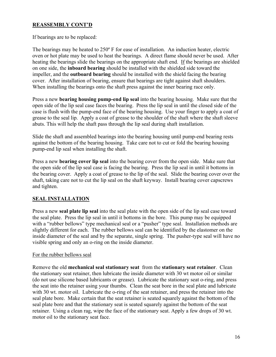#### **REASSEMBLY CONT'D**

If bearings are to be replaced:

The bearings may be heated to 250º F for ease of installation. An induction heater, electric oven or hot plate may be used to heat the bearings. A direct flame should never be used. After heating the bearings slide the bearings on the appropriate shaft end. If the bearings are shielded on one side, the **inboard bearing** should be installed with the shielded side toward the impeller, and the **outboard bearing** should be installed with the shield facing the bearing cover. After installation of bearing, ensure that bearings are tight against shaft shoulders. When installing the bearings onto the shaft press against the inner bearing race only.

Press a new **bearing housing pump-end lip seal** into the bearing housing. Make sure that the open side of the lip seal case faces the bearing. Press the lip seal in until the closed side of the case is flush with the pump-end face of the bearing housing. Use your finger to apply a coat of grease to the seal lip. Apply a coat of grease to the shoulder of the shaft where the shaft sleeve abuts. This will help the shaft pass through the lip seal during shaft installation.

Slide the shaft and assembled bearings into the bearing housing until pump-end bearing rests against the bottom of the bearing housing. Take care not to cut or fold the bearing housing pump-end lip seal when installing the shaft.

Press a new **bearing cover lip seal** into the bearing cover from the open side. Make sure that the open side of the lip seal case is facing the bearing. Press the lip seal in until it bottoms in the bearing cover. Apply a coat of grease to the lip of the seal. Slide the bearing cover over the shaft, taking care not to cut the lip seal on the shaft keyway. Install bearing cover capscrews and tighten.

#### **SEAL INSTALLATION**

Press a new **seal plate lip seal** into the seal plate with the open side of the lip seal case toward the seal plate. Press the lip seal in until it bottoms in the bore. This pump may be equipped with a "rubber bellows" type mechanical seal or a "pusher" type seal. Installation methods are slightly different for each. The rubber bellows seal can be identified by the elastomer on the inside diameter of the seal and by the separate, single spring. The pusher-type seal will have no visible spring and only an o-ring on the inside diameter.

#### For the rubber bellows seal

Remove the old **mechanical seal stationary seat** from the **stationary seat retainer**. Clean the stationary seat retainer, then lubricate the inside diameter with 30 wt motor oil or similar (do not use silicone based lubricants or grease). Lubricate the stationary seat o-ring, and press the seat into the retainer using your thumbs. Clean the seat bore in the seal plate and lubricate with 30 wt. motor oil. Lubricate the o-ring of the seat retainer, and press the retainer into the seal plate bore. Make certain that the seat retainer is seated squarely against the bottom of the seal plate bore and that the stationary seat is seated squarely against the bottom of the seat retainer. Using a clean rag, wipe the face of the stationary seat. Apply a few drops of 30 wt. motor oil to the stationary seat face.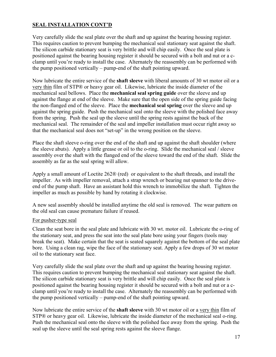#### **SEAL INSTALLATION CONT'D**

Very carefully slide the seal plate over the shaft and up against the bearing housing register. This requires caution to prevent bumping the mechanical seal stationary seat against the shaft. The silicon carbide stationary seat is very brittle and will chip easily. Once the seal plate is positioned against the bearing housing register it should be secured with a bolt and nut or a cclamp until you're ready to install the case. Alternately the reassembly can be performed with the pump positioned vertically – pump-end of the shaft pointing upward.

Now lubricate the entire service of the **shaft sleeve** with liberal amounts of 30 wt motor oil or a very thin film of STP® or heavy gear oil. Likewise, lubricate the inside diameter of the mechanical seal bellows. Place the **mechanical seal spring guide** over the sleeve and up against the flange at end of the sleeve. Make sure that the open side of the spring guide facing the non-flanged end of the sleeve. Place the **mechanical seal spring** over the sleeve and up against the spring guide. Push the mechanical seal onto the sleeve with the polished face away from the spring. Push the seal up the sleeve until the spring rests against the back of the mechanical seal. The remainder of the seal and impeller installation must occur right away so that the mechanical seal does not "set-up" in the wrong position on the sleeve.

Place the shaft sleeve o-ring over the end of the shaft and up against the shaft shoulder (where the sleeve abuts). Apply a little grease or oil to the o-ring. Slide the mechanical seal / sleeve assembly over the shaft with the flanged end of the sleeve toward the end of the shaft. Slide the assembly as far as the seal spring will allow.

Apply a small amount of Loctite 262® (red) or equivalent to the shaft threads, and install the impeller. As with impeller removal, attach a strap wrench or bearing nut spanner to the driveend of the pump shaft. Have an assistant hold this wrench to immobilize the shaft. Tighten the impeller as much as possible by hand by rotating it clockwise.

A new seal assembly should be installed anytime the old seal is removed. The wear pattern on the old seal can cause premature failure if reused.

#### For pusher-type seal

Clean the seat bore in the seal plate and lubricate with 30 wt. motor oil. Lubricate the o-ring of the stationary seat, and press the seat into the seal plate bore using your fingers (tools may break the seat). Make certain that the seat is seated squarely against the bottom of the seal plate bore. Using a clean rag, wipe the face of the stationary seat. Apply a few drops of 30 wt motor oil to the stationary seat face.

Very carefully slide the seal plate over the shaft and up against the bearing housing register. This requires caution to prevent bumping the mechanical seal stationary seat against the shaft. The silicon carbide stationary seat is very brittle and will chip easily. Once the seal plate is positioned against the bearing housing register it should be secured with a bolt and nut or a cclamp until you're ready to install the case. Alternately the reassembly can be performed with the pump positioned vertically – pump-end of the shaft pointing upward.

Now lubricate the entire service of the **shaft sleeve** with 30 wt motor oil or a very thin film of STP® or heavy gear oil. Likewise, lubricate the inside diameter of the mechanical seal o-ring. Push the mechanical seal onto the sleeve with the polished face away from the spring. Push the seal up the sleeve until the seal spring rests against the sleeve flange.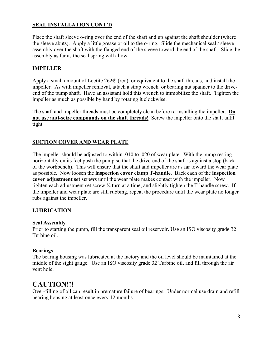#### **SEAL INSTALLATION CONT'D**

Place the shaft sleeve o-ring over the end of the shaft and up against the shaft shoulder (where the sleeve abuts). Apply a little grease or oil to the o-ring. Slide the mechanical seal / sleeve assembly over the shaft with the flanged end of the sleeve toward the end of the shaft. Slide the assembly as far as the seal spring will allow.

#### **IMPELLER**

Apply a small amount of Loctite 262® (red) or equivalent to the shaft threads, and install the impeller. As with impeller removal, attach a strap wrench or bearing nut spanner to the driveend of the pump shaft. Have an assistant hold this wrench to immobilize the shaft. Tighten the impeller as much as possible by hand by rotating it clockwise.

The shaft and impeller threads must be completely clean before re-installing the impeller. **Do not use anti-seize compounds on the shaft threads!** Screw the impeller onto the shaft until tight.

#### **SUCTION COVER AND WEAR PLATE**

The impeller should be adjusted to within .010 to .020 of wear plate. With the pump resting horizontally on its feet push the pump so that the drive-end of the shaft is against a stop (back of the workbench). This will ensure that the shaft and impeller are as far toward the wear plate as possible. Now loosen the **inspection cover clamp T-handle**. Back each of the **inspection cover adjustment set screws** until the wear plate makes contact with the impeller. Now tighten each adjustment set screw ¼ turn at a time, and slightly tighten the T-handle screw. If the impeller and wear plate are still rubbing, repeat the procedure until the wear plate no longer rubs against the impeller.

#### **LUBRICATION**

#### **Seal Assembly**

Prior to starting the pump, fill the transparent seal oil reservoir. Use an ISO viscosity grade 32 Turbine oil.

#### **Bearings**

The bearing housing was lubricated at the factory and the oil level should be maintained at the middle of the sight gauge. Use an ISO viscosity grade 32 Turbine oil, and fill through the air vent hole.

### **CAUTION!!!**

Over-filling of oil can result in premature failure of bearings. Under normal use drain and refill bearing housing at least once every 12 months.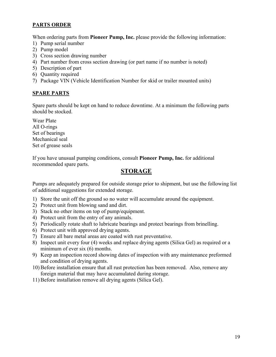#### **PARTS ORDER**

When ordering parts from **Pioneer Pump, Inc.** please provide the following information:

- 1) Pump serial number
- 2) Pump model
- 3) Cross section drawing number
- 4) Part number from cross section drawing (or part name if no number is noted)
- 5) Description of part
- 6) Quantity required
- 7) Package VIN (Vehicle Identification Number for skid or trailer mounted units)

#### **SPARE PARTS**

Spare parts should be kept on hand to reduce downtime. At a minimum the following parts should be stocked.

Wear Plate All O-rings Set of bearings Mechanical seal Set of grease seals

If you have unusual pumping conditions, consult **Pioneer Pump, Inc.** for additional recommended spare parts.

### **STORAGE**

Pumps are adequately prepared for outside storage prior to shipment, but use the following list of additional suggestions for extended storage.

- 1) Store the unit off the ground so no water will accumulate around the equipment.
- 2) Protect unit from blowing sand and dirt.
- 3) Stack no other items on top of pump/equipment.
- 4) Protect unit from the entry of any animals.
- 5) Periodically rotate shaft to lubricate bearings and protect bearings from brinelling.
- 6) Protect unit with approved drying agents.
- 7) Ensure all bare metal areas are coated with rust preventative.
- 8) Inspect unit every four (4) weeks and replace drying agents (Silica Gel) as required or a minimum of ever six (6) months.
- 9) Keep an inspection record showing dates of inspection with any maintenance preformed and condition of drying agents.
- 10) Before installation ensure that all rust protection has been removed. Also, remove any foreign material that may have accumulated during storage.
- 11) Before installation remove all drying agents (Silica Gel).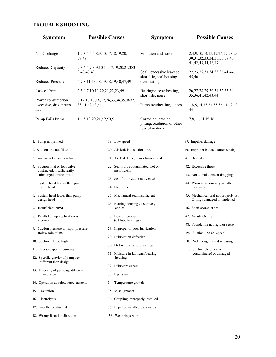#### **TROUBLE SHOOTING**

| <b>Symptom</b>                                               | <b>Possible Causes</b>                                                                             |                                                     | <b>Symptom</b>                                                         | <b>Possible Causes</b>                                                                         |
|--------------------------------------------------------------|----------------------------------------------------------------------------------------------------|-----------------------------------------------------|------------------------------------------------------------------------|------------------------------------------------------------------------------------------------|
| No Discharge                                                 | 1,2,3,4,5,7,8,9,10,17,18,19,20,<br>37,49                                                           |                                                     | Vibration and noise                                                    | 2,4,9,10,14,15,17,26,27,28,29<br>30, 31, 32, 33, 34, 35, 36, 39, 40,<br>41, 42, 43, 44, 48, 49 |
| Reduced Capacity<br><b>Reduced Pressure</b>                  | 2, 3, 4, 5, 7, 8, 9, 10, 11, 17, 19, 20, 21, 383<br>9,40,47,49<br>5,7,8,11,13,18,19,38,39,40,47,49 |                                                     | Seal: excessive leakage,<br>short life, seal housing<br>overheating    | 22, 23, 25, 33, 34, 35, 36, 41, 44,<br>45,46                                                   |
| Loss of Prime<br>Power consumption                           | 2, 3, 4, 7, 10, 11, 20, 21, 22, 23, 49<br>6, 12, 13, 17, 18, 19, 24, 33, 34, 35, 3637,             |                                                     | Bearings: over heating,<br>short life, noise                           | 26, 27, 28, 29, 30, 31, 32, 33, 34,<br>35, 36, 41, 42, 43, 44                                  |
| excessive, driver runs<br>hot                                | 38,41,42,43,44                                                                                     |                                                     | Pump overheating, seizes                                               | 1,8,9,14,33,34,35,36,41,42,43,<br>44                                                           |
| Pump Fails Prime                                             | 1,4,5,10,20,21,49,50,51                                                                            |                                                     | Corrosion, erosion,<br>pitting, oxidation or other<br>loss of material | 7,8,11,14,15,16                                                                                |
| 1. Pump not primed                                           |                                                                                                    | 19. Low speed                                       |                                                                        | 39. Impeller damage                                                                            |
| 2. Suction line not filled                                   |                                                                                                    | 20. Air leak into suction line.                     |                                                                        | 40. Improper balance (after repair)                                                            |
| 3. Air pocket in suction line                                |                                                                                                    | 21. Air leak through mechanical seal                |                                                                        | 41. Bent shaft                                                                                 |
| 4. Suction inlet or foot valve<br>obstructed, insufficiently |                                                                                                    | 22. Seal fluid contaminated, hot or<br>insufficient |                                                                        | 42. Excessive thrust                                                                           |
| submerged, or too small                                      |                                                                                                    | 23. Seal fluid system not vented                    |                                                                        | 43. Rotational element dragging                                                                |
| 5. System head higher than pump<br>design head               |                                                                                                    | 24. High speed                                      |                                                                        | 44. Worn or incorrectly installed<br>bearings                                                  |
| 6. System head lower than pump<br>design head                |                                                                                                    | 25. Mechanical seal insufficient                    |                                                                        | 45. Mechanical seal not properly set,<br>O-rings damaged or hardened                           |
| 7. Insufficient NPSH                                         |                                                                                                    | 26. Bearing housing excessively<br>cooled           |                                                                        | 46. Shaft scored at seal                                                                       |
| 8. Parallel pump application is<br>incorrect                 |                                                                                                    | 27. Low oil pressure<br>(oil lube bearings)         |                                                                        | 47. Volute O-ring                                                                              |
| 9. Suction pressure to vapor pressure                        |                                                                                                    | 28. Improper or poor lubrication                    |                                                                        | 48. Foundation not rigid or settle                                                             |
| Below minimum.                                               |                                                                                                    | 29. Lubrication defective                           |                                                                        | 49. Suction line collapsed                                                                     |
| 10. Suction lift too high                                    |                                                                                                    | 30. Dirt in lubrication/bearings                    |                                                                        | 50. Not enough liquid in casing                                                                |
| 11. Excess vapor in pumpage                                  |                                                                                                    | 31. Moisture in lubricant/bearing                   |                                                                        | 51. Suction check valve<br>contaminated or damaged                                             |
| 12. Specific gravity of pumpage<br>different than design     |                                                                                                    | housing                                             |                                                                        |                                                                                                |
| 13. Viscosity of pumpage different                           |                                                                                                    | 32. Lubricant excess                                |                                                                        |                                                                                                |
| than design                                                  |                                                                                                    | 33. Pipe strain                                     |                                                                        |                                                                                                |
| 14. Operation at below rated capacity                        |                                                                                                    | 34. Temperature growth                              |                                                                        |                                                                                                |
| 15. Cavitation                                               |                                                                                                    | 35. Misalignment                                    |                                                                        |                                                                                                |
| 16. Electrolysis                                             |                                                                                                    | 36. Coupling improperly installed                   |                                                                        |                                                                                                |
| 17. Impeller obstructed                                      |                                                                                                    | 37. Impeller installed backwards                    |                                                                        |                                                                                                |
| 18. Wrong-Rotation direction                                 |                                                                                                    | 38. Wear rings-worn                                 |                                                                        |                                                                                                |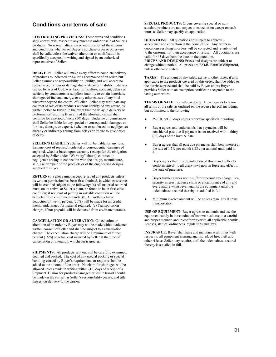#### **Conditions and terms of sale**

**CONTROLLING PROVISIONS:** These terms and conditions shall control with respect to any purchase order or sale of Seller's products. No waiver, alteration or modification of these terms and conditions whether on Buyer's purchase order or otherwise shall be valid unless the waiver, alteration or modification is specifically accepted in writing and signed by an authorized representative of Seller.

**DELIVERY:** Seller will make every effort to complete delivery of products as indicated on Seller's acceptance of an order, but Seller assumes no responsibility or liability, and will accept no backcharge, for loss or damage due to delay or inability to deliver caused by acts of God, war, labor difficulties, accident, delays of carriers, by contractors or suppliers inability to obtain materials, shortages of fuel and energy, or any other causes of any kind whatever beyond the control of Seller. Seller may terminate any contract of sale of its products without liability of any nature, by written notice to Buyer, in the event that the delay in delivery or performance resulting from any of the aforesaid causes shall continue for a period of sixty (60) days. Under no circumstances shall Seller be liable for any special or consequential damages or for loss, damage, or expense (whether or not based on negligence) directly or indirectly arising from delays or failure to give notice of delay.

**SELLER'S LIABILITY:** Seller will not be liable for any loss, damage, cost of repairs, incidental or consequential damages of any kind, whether based upon warranty (except for the obligation accepted by Seller under "Warranty" above), contract or negligence arising in connection with the design, manufacture, sale, use or repair of the products or of the engineering designs supplied to Buyer.

**RETURNS:** Seller cannot accept return of any products unless its written permission has been first obtained, in which case same will be credited subject to the following: (a) All material returned must, on its arrival at Seller's plant, be found to be in first-class condition; if not, cost of putting in saleable condition will be deducted from credit memoranda. (b) A handling charge deduction of twenty percent (20%) will be made for all credit memoranda issued for material returned. (c) Transportation charges, if not prepaid, will be deducted from credit memoranda.

**CANCELLATION OR ALTERATION:** Cancellation or alteration of an order by Buyer may not be made without advance written consent of Seller and shall be subject to a cancellation charge. The cancellation charge will be a minimum of fifteen percent (15%) or actual cost incurred by Seller at the time of cancellation or alteration, whichever is greater.

**SHIPMENTS:** All products sent out will be carefully examined, counted and packed. The cost of any special packing or special handling caused by Buyer's requirements or requests shall be added to the amount of the order. No claim for shortages will be allowed unless made in writing within (10) days of receipt of a Shipment. Claims for products damaged or lost in transit should be made on the carrier, as Seller's responsibility ceases, and title passes, on delivery to the carrier.

**SPECIAL PRODUCTS:** Orders covering special or nonstandard products are not subject to cancellation except on such terms as Seller may specify on application.

**QUOATIONS:** All quotations are subject to approval, acceptance and correction at the home office. Any errors in quotations resulting in orders will be corrected and re-submitted to the customer for their acceptance or refusal. All quotations are valid for 45 days from the date on the quotation. **PRICES AND DESIGNS:** Prices and designs are subject to change without notice. All prices are **F.O.B. Point of Shipment**, unless otherwise stated.

**TAXES:** The amount of any sales, excise or other taxes, if any, applicable to the products covered by this order, shall be added to the purchase price and shall be paid by Buyer unless Buyer provides Seller with an exemption certificate acceptable to the taxing authorities.

**TERMS OF SALE:** For value received, Buyer agrees to honor all terms of the sale, as outlined on the reverse hereof, including, but not limited to the following:

- ♦ 3% 10, net 30 days unless otherwise specified in writing.
- Buyer agrees and understands that payments will be considered past due if payment is not received within thirty (30) days of the invoice date.
- ♦ Buyer agrees that all past due payments shall bear interest at the rate of 1.5% per month (18% per annum) until paid in full.
- Buyer agrees that it is the intention of Buyer and Seller to conform strictly to all usury laws now in force and effect in the state of purchase.
- ♦ Buyer further agrees not to suffer or permit any charge, lien, security interest, adverse claim or encumbrance of any and every nature whatsoever against the equipment until the indebtedness secured thereby is satisfied in full.
- ♦ Minimum invoice amount will be no less than \$25.00 plus transportation.

**USE OF EQUIPMENT:** Buyer agrees to maintain and use the equipment solely in the conduct of its own business, in a careful and proper manner, and in conformity with all applicable permits, licenses, statues, ordinances, regulations and laws.

**INSURANCE:** Buyer shall have and maintain at all times with respect to all equipment insuring against risk of fire, theft and other risks as Seller may require, until the indebtedness secured thereby is satisfied in full.